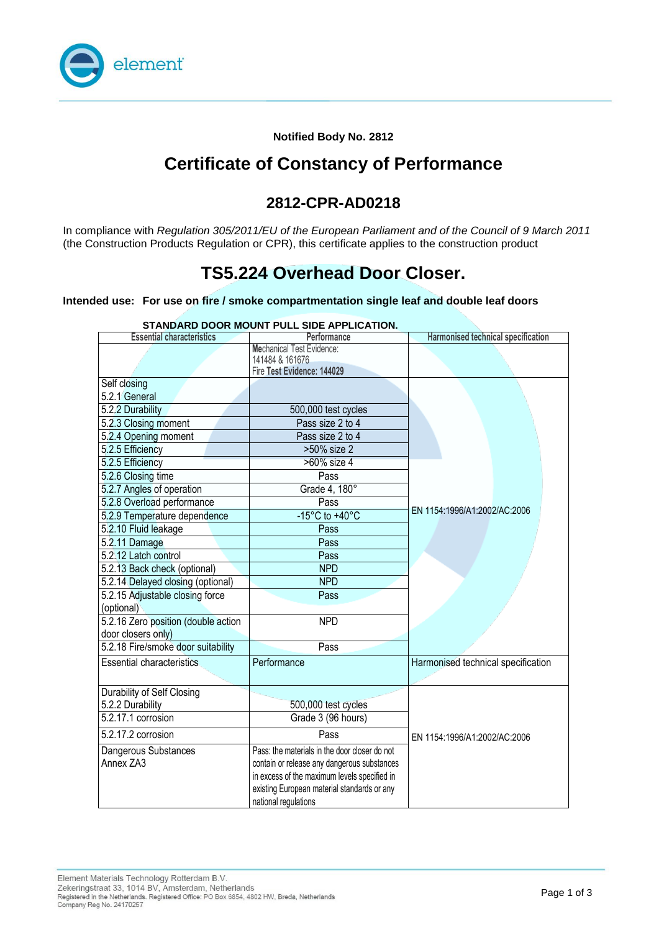

**Notified Body No. 2812**

## **Certificate of Constancy of Performance**

### **2812-CPR-AD0218**

In compliance with *Regulation 305/2011/EU of the European Parliament and of the Council of 9 March 2011*  (the Construction Products Regulation or CPR), this certificate applies to the construction product

## **TS5.224 Overhead Door Closer.**

#### **Intended use: For use on fire / smoke compartmentation single leaf and double leaf doors**

| STANDARD DOOR MOUNT PULL SIDE APPLICATION. |                                               |                                    |  |
|--------------------------------------------|-----------------------------------------------|------------------------------------|--|
| <b>Essential characteristics</b>           | Performance                                   | Harmonised technical specification |  |
|                                            | <b>Mechanical Test Evidence:</b>              |                                    |  |
|                                            | 141484 & 161676<br>Fire Test Evidence: 144029 |                                    |  |
| Self closing                               |                                               |                                    |  |
| 5.2.1 General                              |                                               |                                    |  |
| 5.2.2 Durability                           | 500,000 test cycles                           |                                    |  |
| 5.2.3 Closing moment                       | Pass size 2 to 4                              |                                    |  |
| 5.2.4 Opening moment                       | Pass size 2 to 4                              |                                    |  |
| 5.2.5 Efficiency                           | >50% size 2                                   |                                    |  |
| 5.2.5 Efficiency                           | >60% size 4                                   |                                    |  |
| 5.2.6 Closing time                         | Pass                                          |                                    |  |
| 5.2.7 Angles of operation                  | Grade 4, 180°                                 |                                    |  |
| 5.2.8 Overload performance                 | Pass                                          |                                    |  |
| 5.2.9 Temperature dependence               | $-15^{\circ}$ C to $+40^{\circ}$ C            | EN 1154:1996/A1:2002/AC:2006       |  |
| 5.2.10 Fluid leakage                       | Pass                                          |                                    |  |
|                                            | Pass                                          |                                    |  |
| 5.2.11 Damage<br>5.2.12 Latch control      |                                               |                                    |  |
|                                            | Pass                                          |                                    |  |
| 5.2.13 Back check (optional)               | <b>NPD</b>                                    |                                    |  |
| 5.2.14 Delayed closing (optional)          | <b>NPD</b>                                    |                                    |  |
| 5.2.15 Adjustable closing force            | Pass                                          |                                    |  |
| (optional)                                 |                                               |                                    |  |
| 5.2.16 Zero position (double action        | <b>NPD</b>                                    |                                    |  |
| door closers only)                         |                                               |                                    |  |
| 5.2.18 Fire/smoke door suitability         | Pass                                          |                                    |  |
| <b>Essential characteristics</b>           | Performance                                   | Harmonised technical specification |  |
|                                            |                                               |                                    |  |
| Durability of Self Closing                 |                                               |                                    |  |
| 5.2.2 Durability                           | 500,000 test cycles                           |                                    |  |
| 5.2.17.1 corrosion                         | Grade 3 (96 hours)                            |                                    |  |
| 5.2.17.2 corrosion                         | Pass                                          | EN 1154:1996/A1:2002/AC:2006       |  |
| Dangerous Substances                       | Pass: the materials in the door closer do not |                                    |  |
| Annex ZA3                                  | contain or release any dangerous substances   |                                    |  |
|                                            | in excess of the maximum levels specified in  |                                    |  |
|                                            | existing European material standards or any   |                                    |  |
|                                            | national regulations                          |                                    |  |

#### **STANDARD DOOR MOUNT PULL SIDE APPLICATION.**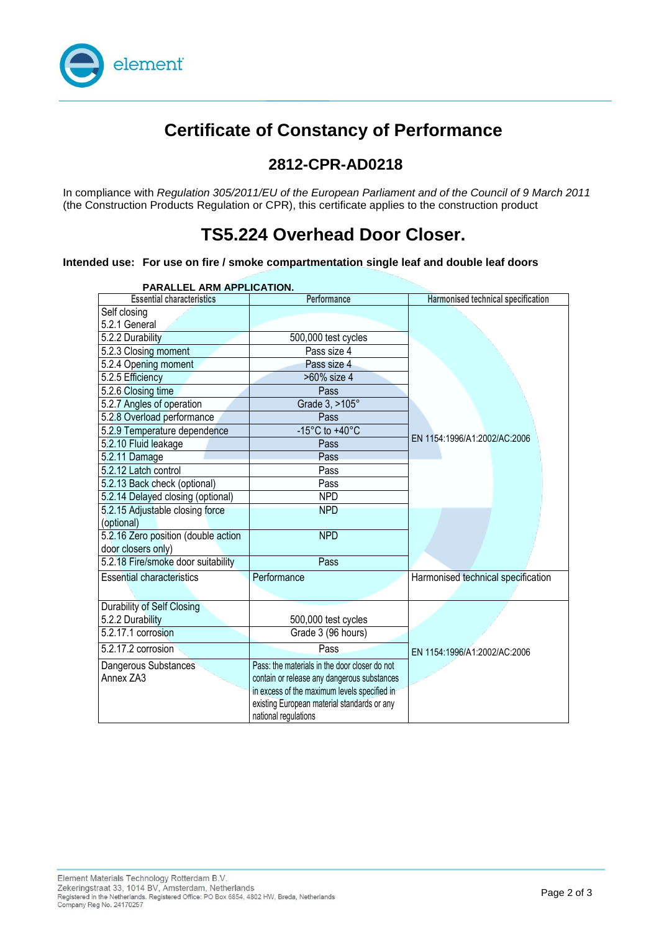

# **Certificate of Constancy of Performance**

#### **2812-CPR-AD0218**

In compliance with *Regulation 305/2011/EU of the European Parliament and of the Council of 9 March 2011*  (the Construction Products Regulation or CPR), this certificate applies to the construction product

## **TS5.224 Overhead Door Closer.**

#### **Intended use: For use on fire / smoke compartmentation single leaf and double leaf doors**

| PARALLEL ARM APPLICATION.           |                                               |                                    |  |
|-------------------------------------|-----------------------------------------------|------------------------------------|--|
| <b>Essential characteristics</b>    | Performance                                   | Harmonised technical specification |  |
| Self closing                        |                                               |                                    |  |
| 5.2.1 General                       |                                               |                                    |  |
| 5.2.2 Durability                    | 500,000 test cycles                           |                                    |  |
| 5.2.3 Closing moment                | Pass size 4                                   |                                    |  |
| 5.2.4 Opening moment                | Pass size 4                                   |                                    |  |
| 5.2.5 Efficiency                    | >60% size 4                                   |                                    |  |
| 5.2.6 Closing time                  | Pass                                          |                                    |  |
| 5.2.7 Angles of operation           | Grade 3, >105°                                |                                    |  |
| 5.2.8 Overload performance          | Pass                                          |                                    |  |
| 5.2.9 Temperature dependence        | -15 $^{\circ}$ C to +40 $^{\circ}$ C          |                                    |  |
| 5.2.10 Fluid leakage                | Pass                                          | EN 1154:1996/A1:2002/AC:2006       |  |
| 5.2.11 Damage                       | Pass                                          |                                    |  |
| 5.2.12 Latch control                | Pass                                          |                                    |  |
| 5.2.13 Back check (optional)        | Pass                                          |                                    |  |
| 5.2.14 Delayed closing (optional)   | <b>NPD</b>                                    |                                    |  |
| 5.2.15 Adjustable closing force     | <b>NPD</b>                                    |                                    |  |
| (optional)                          |                                               |                                    |  |
| 5.2.16 Zero position (double action | <b>NPD</b>                                    |                                    |  |
| door closers only)                  |                                               |                                    |  |
| 5.2.18 Fire/smoke door suitability  | Pass                                          |                                    |  |
| <b>Essential characteristics</b>    | Performance                                   | Harmonised technical specification |  |
|                                     |                                               |                                    |  |
| Durability of Self Closing          |                                               |                                    |  |
| 5.2.2 Durability                    | 500,000 test cycles                           |                                    |  |
| 5.2.17.1 corrosion                  | Grade 3 (96 hours)                            |                                    |  |
| 5.2.17.2 corrosion                  | Pass                                          | EN 1154:1996/A1:2002/AC:2006       |  |
| Dangerous Substances                | Pass: the materials in the door closer do not |                                    |  |
| Annex ZA3                           | contain or release any dangerous substances   |                                    |  |
|                                     | in excess of the maximum levels specified in  |                                    |  |
|                                     | existing European material standards or any   |                                    |  |
|                                     | national regulations                          |                                    |  |